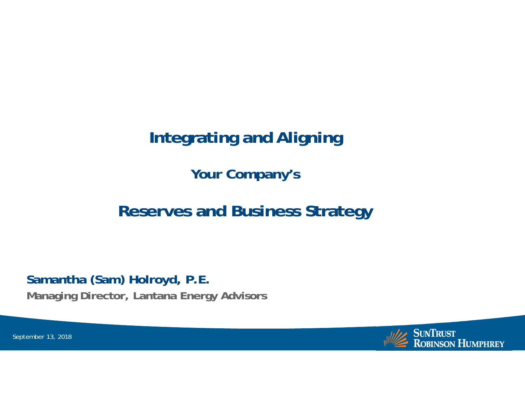# **Integrating and Aligning**

**Your Company's**

# **Reserves and Business Strategy**

**Samantha (Sam) Holroyd, P.E.**

**Managing Director, Lantana Energy Advisors**

**SUNTRUST ROBINSON HUMPHREY** 

September 13, 2018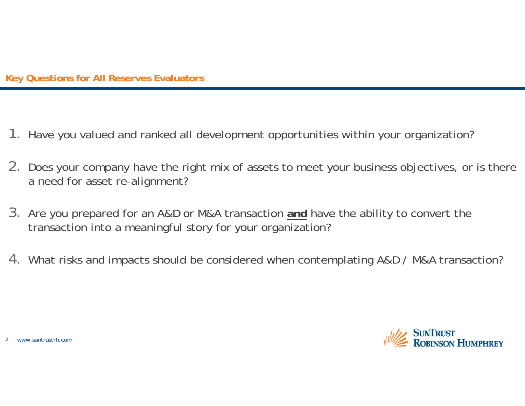#### **Key Questions for All Reserves Evaluators**

- 1. Have you valued and ranked all development opportunities within your organization?
- 2. Does your company have the right mix of assets to meet your business objectives, or is there a need for asset re-alignment?
- 3. Are you prepared for an A&D or M&A transaction **and** have the ability to convert the transaction into a meaningful story for your organization?
- 4. What risks and impacts should be considered when contemplating A&D / M&A transaction?

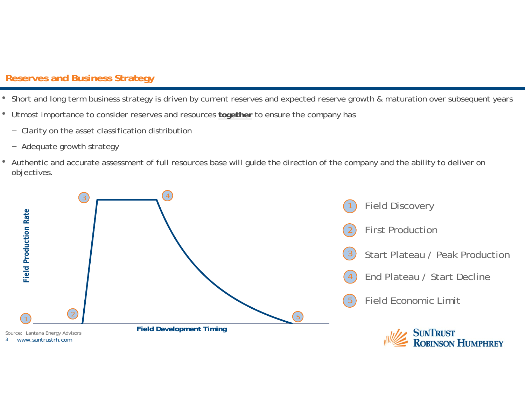### **Reserves and Business Strategy**

- Short and long term business strategy is driven by current reserves and expected reserve growth & maturation over subsequent years
- Utmost importance to consider reserves and resources **together** to ensure the company has
	- Clarity on the asset classification distribution
	- Adequate growth strategy
- Authentic and accurate assessment of full resources base will guide the direction of the company and the ability to deliver on objectives.

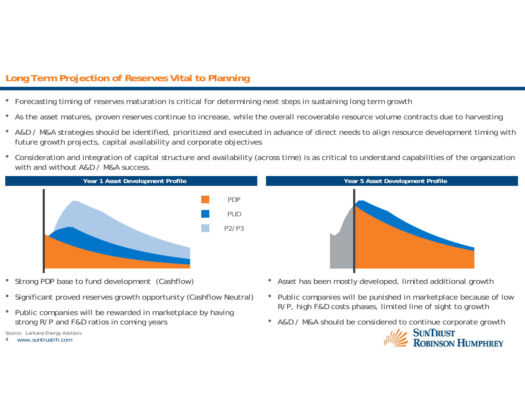## **Long Term Projection of Reserves Vital to Planning**

- Forecasting timing of reserves maturation is critical for determining next steps in sustaining long term growth
- As the asset matures, proven reserves continue to increase, while the overall recoverable resource volume contracts due to harvesting
- A&D / M&A strategies should be identified, prioritized and executed in advance of direct needs to align resource development timing with future growth projects, capital availability and corporate objectives
- Consideration and integration of capital structure and availability (across time) is as critical to understand capabilities of the organization with and without A&D / M&A success.



- Strong PDP base to fund development (Cashflow)
- Significant proved reserves growth opportunity (Cashflow Neutral)
- Public companies will be rewarded in marketplace by having strong R/P and F&D ratios in coming years

Source: Lantana Energy Advisors



- Asset has been mostly developed, limited additional growth
- Public companies will be punished in marketplace because of low R/P, high F&D costs phases, limited line of sight to growth
- A&D / M&A should be considered to continue corporate growth

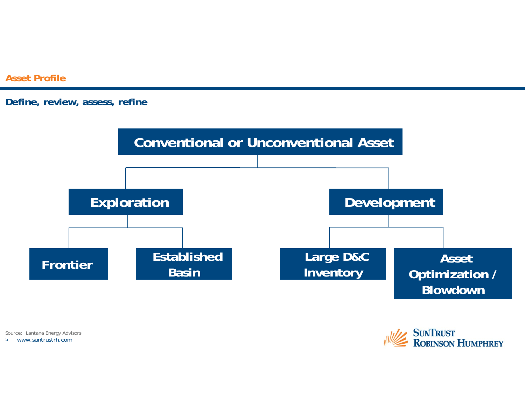**Asset Profile**

#### **Define, review, assess, refine**



5 www.suntrustrh.comSource: Lantana Energy Advisors

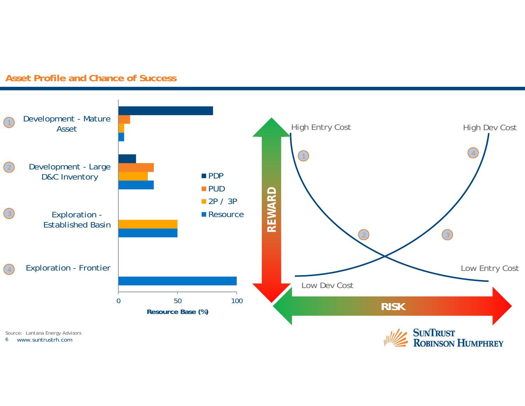

#### **Asset Profile and Chance of Success**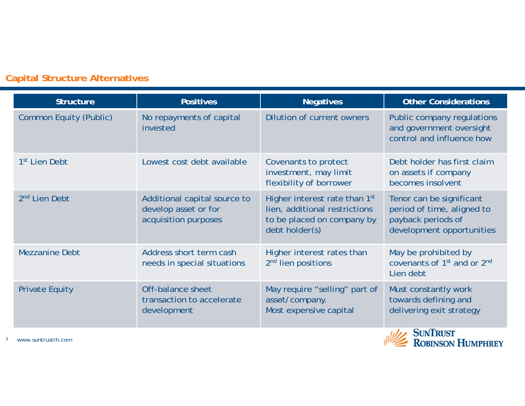# **Capital Structure Alternatives**

| <b>Structure</b>              | <b>Positives</b>                                                             | <b>Negatives</b>                                                                                               | <b>Other Considerations</b>                                                                               |
|-------------------------------|------------------------------------------------------------------------------|----------------------------------------------------------------------------------------------------------------|-----------------------------------------------------------------------------------------------------------|
| <b>Common Equity (Public)</b> | No repayments of capital<br>invested                                         | Dilution of current owners                                                                                     | Public company regulations<br>and government oversight<br>control and influence how                       |
| 1 <sup>st</sup> Lien Debt     | Lowest cost debt available                                                   | Covenants to protect<br>investment, may limit<br>flexibility of borrower                                       | Debt holder has first claim<br>on assets if company<br>becomes insolvent                                  |
| 2 <sup>nd</sup> Lien Debt     | Additional capital source to<br>develop asset or for<br>acquisition purposes | Higher interest rate than 1st<br>lien, additional restrictions<br>to be placed on company by<br>debt holder(s) | Tenor can be significant<br>period of time, aligned to<br>payback periods of<br>development opportunities |
| <b>Mezzanine Debt</b>         | Address short term cash<br>needs in special situations                       | Higher interest rates than<br>2 <sup>nd</sup> lien positions                                                   | May be prohibited by<br>covenants of 1 <sup>st</sup> and or 2 <sup>nd</sup><br>Lien debt                  |
| <b>Private Equity</b>         | Off-balance sheet<br>transaction to accelerate<br>development                | May require "selling" part of<br>asset/company.<br>Most expensive capital                                      | Must constantly work<br>towards defining and<br>delivering exit strategy                                  |
| www.suntrustrh.com            |                                                                              |                                                                                                                | <b>SUNTRUST</b><br><b>ROBINSON HUMPHREY</b>                                                               |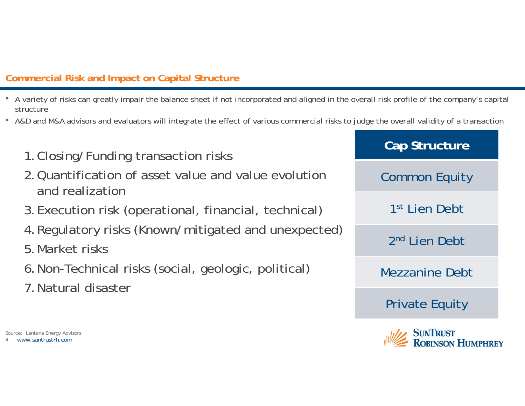# **Commercial Risk and Impact on Capital Structure**

- A variety of risks can greatly impair the balance sheet if not incorporated and aligned in the overall risk profile of the company's capital structure
- A&D and M&A advisors and evaluators will integrate the effect of various commercial risks to judge the overall validity of a transaction

| sks                  | Cap Structure                          |
|----------------------|----------------------------------------|
| ind value evolution  | <b>Common Equity</b>                   |
| nancial, technical)  | 1 <sup>st</sup> Lien Debt              |
| ated and unexpected) | 2 <sup>nd</sup> Lien Debt              |
| ologic, political)   | <b>Mezzanine Debt</b>                  |
|                      | <b>Private Equity</b>                  |
|                      | $\mathcal{L} = \mathbb{C}$ in The case |

**ROBINSON HUMPHREY** 

- 1. Closing/Funding transaction rist
- 2. Quantification of asset value a and realization
- 3. Execution risk (operational, firancial)
- 4. Regulatory risks (Known/mitigated)
- 5.Market risks
- 6. Non-Technical risks (social, geologic
- 7.Natural disaster

 www.suntrustrh.comSource: Lantana Energy Advisors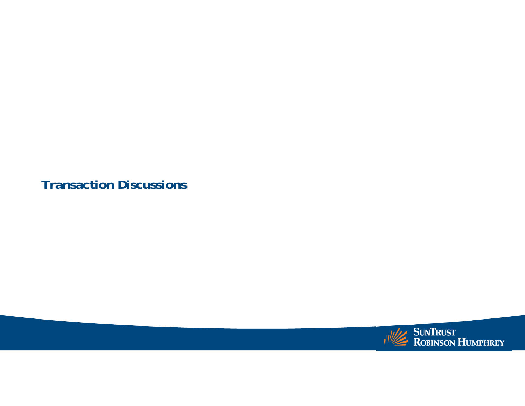**Transaction Discussions**

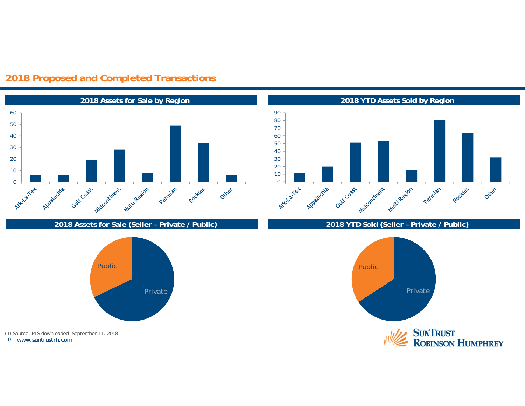

### **2018 Proposed and Completed Transactions**

**2018 Assets for Sale (Seller – Private / Public) 2018 YTD Sold (Seller – Private / Public)**



 www.suntrustrh.com(1) Source: PLS downloaded September 11, 2018



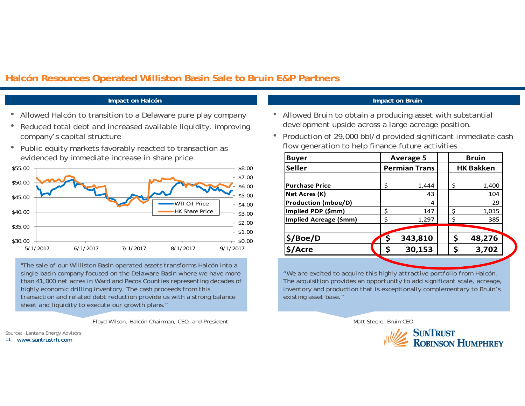#### **Halcón Resources Operated Williston Basin Sale to Bruin E&P Partners**

#### **Impact on Halcón Impact on Bruin**

- •Allowed Halcón to transition to a Delaware pure play company
- $\bullet$  Reduced total debt and increased available liquidity, improving company's capital structure
- Public equity markets favorably reacted to transaction as evidenced by immediate increase in share price



*"The sale of our Williston Basin operated assets transforms Halcón into a single-basin company focused on the Delaware Basin where we have more than 41,000 net acres in Ward and Pecos Counties representing decades of highly economic drilling inventory. The cash proceeds from this transaction and related debt reduction provide us with a strong balance sheet and liquidity to execute our growth plans."*

Floyd Wilson, Halcón Chairman, CEO, and President

11 www.suntrustrh.comSource: Lantana Energy Advisors

- Allowed Bruin to obtain a producing asset with substantial development upside across a large acreage position.
- Production of 29,000 bbl/d provided significant immediate cash flow generation to help finance future activities

| <b>Buyer</b>               |    | <b>Average 5</b>     |  | Bruin            |        |  |
|----------------------------|----|----------------------|--|------------------|--------|--|
| <b>Seller</b>              |    | <b>Permian Trans</b> |  | <b>HK Bakken</b> |        |  |
|                            |    |                      |  |                  |        |  |
| <b>Purchase Price</b>      | \$ | 1,444                |  | \$               | 1,400  |  |
| Net Acres (K)              |    | 43                   |  |                  | 104    |  |
| <b>Production (mboe/D)</b> |    | 4                    |  |                  | 29     |  |
| Implied PDP (\$mm)         | \$ | 147                  |  | \$               | 1,015  |  |
| Implied Acreage (\$mm)     | \$ | 1,297                |  | \$               | 385    |  |
|                            |    |                      |  |                  |        |  |
| \$/Boe/D                   |    | 343,810              |  | \$               | 48,276 |  |
| \$/Acre                    |    | 30,153               |  |                  | 3,702  |  |
|                            |    |                      |  |                  |        |  |

*"We are excited to acquire this highly attractive portfolio from Halcón. The acquisition provides an opportunity to add significant scale, acreage, inventory and production that is exceptionally complementary to Bruin's existing asset base."*

Matt Steele, Bruin CEO

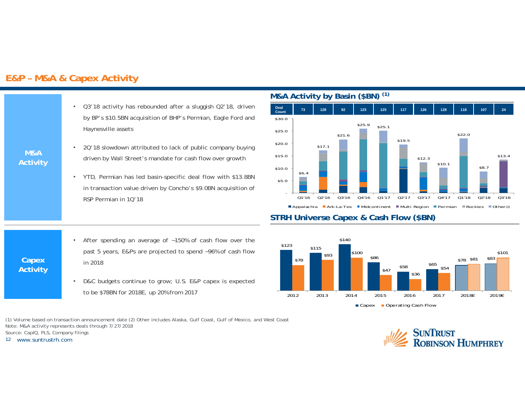#### **E&P – M&A & Capex Activity**

- Q3'18 activity has rebounded after <sup>a</sup> sluggish Q2'18, driven by BP's \$10.5BN acquisition of BHP's Permian, Eagle Ford and Haynesville assets
	- • 2Q'18 slowdown attributed to lack of public company buying driven by Wall Street's mandate for cash flow over growth
	- • YTD, Permian has led basin-specific deal flow with \$13.8BN in transaction value driven by Concho's \$9.0BN acquisition of RSP Permian in 1Q'18
	- • After spending an average of ~150% of cash flow over the past 5 years, E&Ps are projected to spend ~96% of cash flow in 2018
	- • D&C budgets continue to grow; U.S. E&P capex is expected to be \$78BN for 2018E, up 20% from 2017

(1) Volume based on transaction announcement date (2) Other includes Alaska, Gulf Coast, Gulf of Mexico, and West Coast Note: M&A activity represents deals through 7/27/2018 Source: CapIQ, PLS, Company filings

12 www.suntrustrh.com

**Capex Activity**

**M&A Activity**

#### **M&A Activity by Basin (\$BN) (1)**



#### **STRH Universe Capex & Cash Flow (\$BN)**



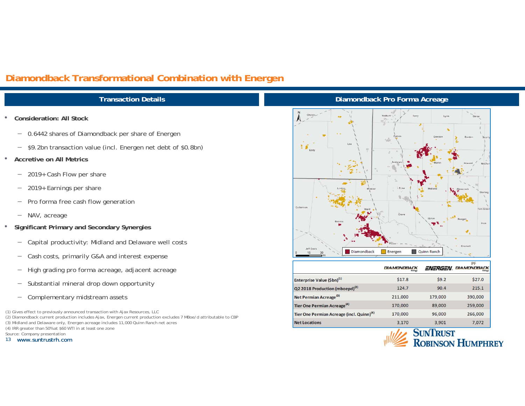### **Diamondback Transformational Combination with Energen**

#### **Transaction Details**

- • **Consideration: All Stock**
	- 0.6442 shares of Diamondback per share of Energen
	- \$9.2bn transaction value (incl. Energen net debt of \$0.8bn)
- • **Accretive on All Metrics**
	- $\overline{\phantom{0}}$ 2019+ Cash Flow per share
	- $\qquad \qquad -$ 2019+ Earnings per share
	- $\overline{\phantom{0}}$ Pro forma free cash flow generation
	- NAV, acreage
- • **Significant Primary and Secondary Synergies**
	- $\overline{\phantom{0}}$ Capital productivity: Midland and Delaware well costs
	- Cash costs, primarily G&A and interest expense
	- $\overline{\phantom{0}}$ High grading pro forma acreage, adjacent acreage
	- $\overline{\phantom{0}}$ Substantial mineral drop down opportunity
	- $\overline{\phantom{0}}$ Complementary midstream assets

(1) Gives effect to previously announced transaction with Ajax Resources, LLC

- (2) Diamondback current production includes Ajax, Energen current production excludes 7 MBoe/d attributable to CBP (3) Midland and Delaware only, Energen acreage includes 11,000 Quinn Ranch net acres
- (4) IRR greater than 50% at \$60 WTI in at least one zone

Source: Company presentation

13 www.suntrustrh.com

#### **Diamondback Pro Forma Acreage**



|                                                       | <b>DIAMONDBACK</b><br>Energy | ENERGEN | PF<br>DIAMONDBACK<br>Energy |
|-------------------------------------------------------|------------------------------|---------|-----------------------------|
| Enterprise Value (\$bn) <sup>(1)</sup>                | \$17.8                       | 59.2    | \$27.0                      |
| Q2 2018 Production (mboepd) <sup>(2)</sup>            | 124.7                        | 90.4    | 215.1                       |
| Net Permian Acreage <sup>(3)</sup>                    | 211,000                      | 179,000 | 390,000                     |
| Tier One Permian Acreage <sup>(4)</sup>               | 170,000                      | 89,000  | 259,000                     |
| Tier One Permian Acreage (incl. Quinn) <sup>(4)</sup> | 170,000                      | 96,000  | 266,000                     |
| <b>Net Locations</b>                                  | 3,170                        | 3,901   | 7,072                       |